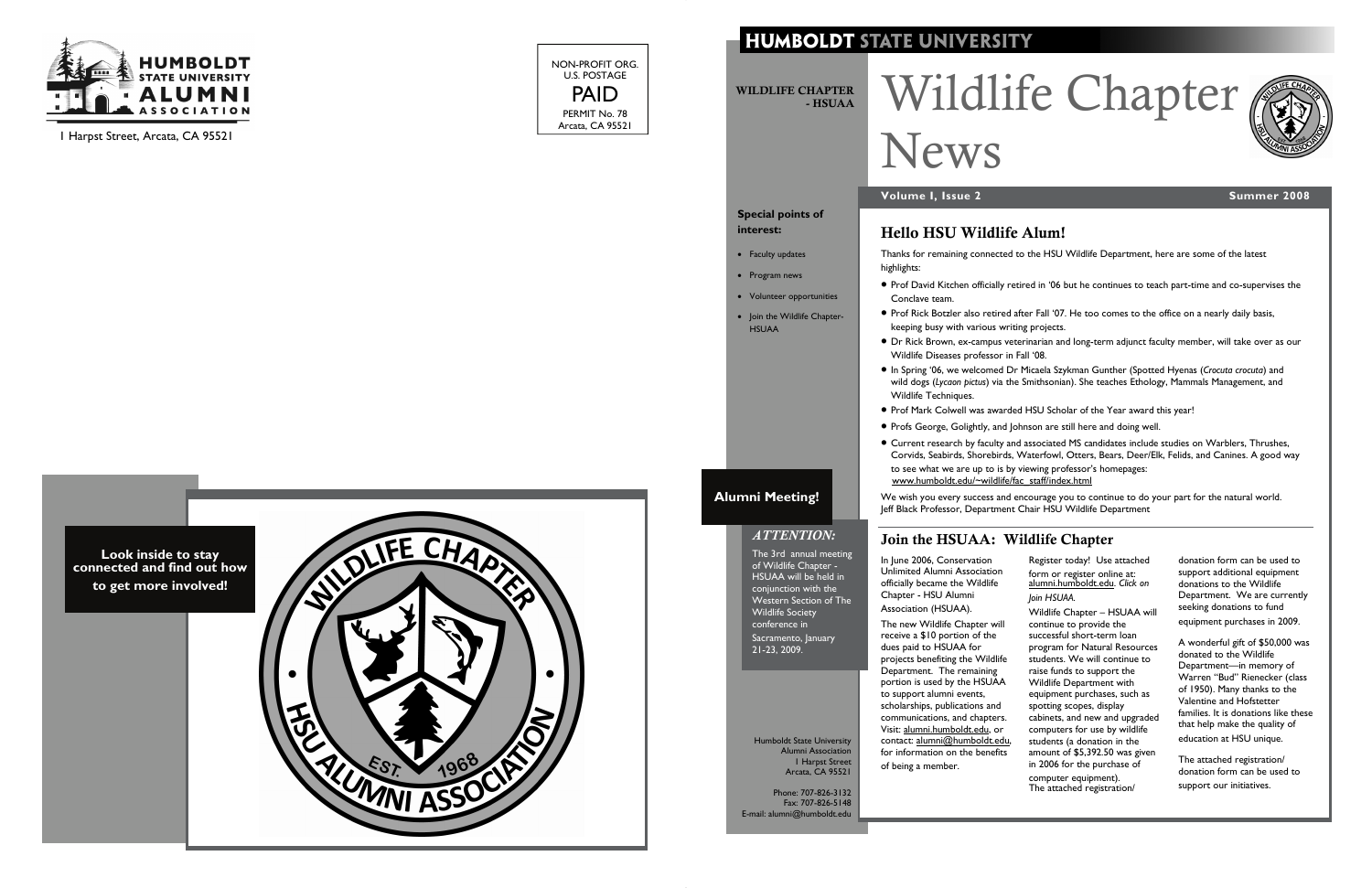

1 Harpst Street, Arcata, CA 95521

NON-PROFIT ORG. U.S. POSTAGE PAID PERMIT No. 78 Arcata, CA 95521

### **HUMBOLDT STATE UNIVERSITY**



# Wildlife Chapter



Thanks for remaining connected to the HSU Wildlife Department, here are some of the latest

highlights:

• Prof David Kitchen officially retired in '06 but he continues to teach part-time and co-supervises the

- Conclave team.
- Prof Rick Botzler also retired after Fall '07. He too comes to the office on a nearly daily basis, keeping busy with various writing projects.
- Dr Rick Brown, ex-campus veterinarian and long-term adjunct faculty member, will take over as our Wildlife Diseases professor in Fall '08.
- Wildlife Techniques.
- 
- Profs George, Golightly, and Johnson are still here and doing well.
- to see what we are up to is by viewing professor's homepages: [www.humboldt.edu/~wildlife/fac\\_staff/index.html](http://www.humboldt.edu/~wildlife/fac_staff/index.html)
- In Spring '06, we welcomed Dr Micaela Szykman Gunther (Spotted Hyenas (*Crocuta crocuta*) and wild dogs (*Lycaon pictus*) via the Smithsonian). She teaches Ethology, Mammals Management, and
- Prof Mark Colwell was awarded HSU Scholar of the Year award this year!
- Current research by faculty and associated MS candidates include studies on Warblers, Thrushes, Corvids, Seabirds, Shorebirds, Waterfowl, Otters, Bears, Deer/Elk, Felids, and Canines. A good way

We wish you every success and encourage you to continue to do your part for the natural world. Jeff Black Professor, Department Chair HSU Wildlife Department

#### Hello HSU Wildlife Alum!

WILDLIFE CHAPTER - HSUAA

# News

#### **Volume I, Issue 2** Summer 2008 **Summer 2008**

**Special points of** 

**interest:** 

• Faculty updates • Program news

• Volunteer opportunities • Join the Wildlife Chapter-

HSUAA

Humboldt State University Alumni Association 1 Harpst Street Arcata, CA 95521

Phone: 707-826-3132 Fax: 707-826-5148 E-mail: alumni@humboldt.edu

#### Join the HSUAA: Wildlife Chapter

In June 2006, Conservation Unlimited Alumni Association officially became the Wildlife Chapter - HSU Alumni Association (HSUAA).

The new Wildlife Chapter will receive a \$10 portion of the dues paid to HSUAA for projects benefiting the Wildlife Department. The remaining portion is used by the HSUAA to support alumni events, scholarships, publications and communications, and chapters. Visit: [alumni.humboldt.edu](http://alumni.humboldt.edu/s/857/splash.aspx), or contact: [alumni@humboldt.edu](mailto:alumni@humboldt.edu), for information on the benefits of being a member.

Register today! Use attached form or register online at: [alumni.humboldt.edu](http://alumni.humboldt.edu/s/857/splash.aspx). *Click on Join HSUAA.* 

Wildlife Chapter – HSUAA will continue to provide the successful short-term loan program for Natural Resources students. We will continue to raise funds to support the Wildlife Department with equipment purchases, such as spotting scopes, display cabinets, and new and upgraded computers for use by wildlife students (a donation in the amount of \$5,392.50 was given in 2006 for the purchase of computer equipment). The attached registration/

donation form can be used to support additional equipment donations to the Wildlife Department. We are currently seeking donations to fund equipment purchases in 2009.

A wonderful gift of \$50,000 was donated to the Wildlife Department—in memory of Warren "Bud" Rienecker (class of 1950). Many thanks to the Valentine and Hofstetter families. It is donations like these that help make the quality of education at HSU unique.

The attached registration/ donation form can be used to support our initiatives.

#### *ATTENTION:*  The 3rd annual meeting of Wildlife Chapter - HSUAA will be held in

conjunction with the Western Section of The Wildlife Society conference in Sacramento, January 21-23, 2009.

**Alumni Meeting!**